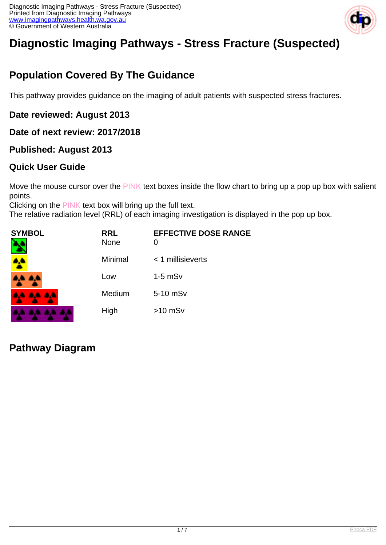

# **Diagnostic Imaging Pathways - Stress Fracture (Suspected)**

## **Population Covered By The Guidance**

This pathway provides guidance on the imaging of adult patients with suspected stress fractures.

#### **Date reviewed: August 2013**

#### **Date of next review: 2017/2018**

#### **Published: August 2013**

#### **Quick User Guide**

Move the mouse cursor over the PINK text boxes inside the flow chart to bring up a pop up box with salient points.

Clicking on the PINK text box will bring up the full text.

The relative radiation level (RRL) of each imaging investigation is displayed in the pop up box.

| SYMBOL          | <b>RRL</b><br><b>None</b> | <b>EFFECTIVE DOSE RANGE</b><br>0 |
|-----------------|---------------------------|----------------------------------|
|                 | Minimal                   | $<$ 1 millisieverts              |
| 4A 4A           | Low                       | $1-5$ mS $v$                     |
| <b>AA AA AA</b> | Medium                    | 5-10 mSv                         |
|                 | High                      | $>10$ mSv                        |

## **Pathway Diagram**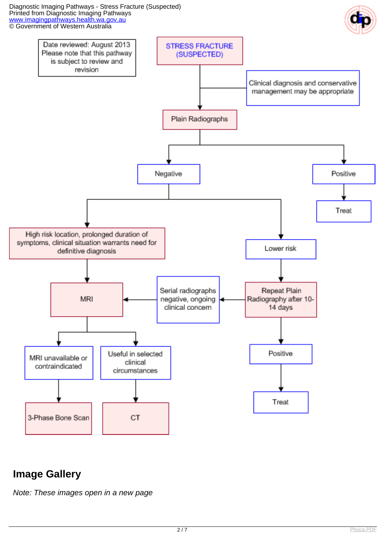#### Diagnostic Imaging Pathways - Stress Fracture (Suspected) Printed from Diagnostic Imaging Pathways [www.imagingpathways.health.wa.gov.au](http://www.imagingpathways.health.wa.gov.au/) **CO** Government of Western Australia



## **Image Gallery**

Note: These images open in a new page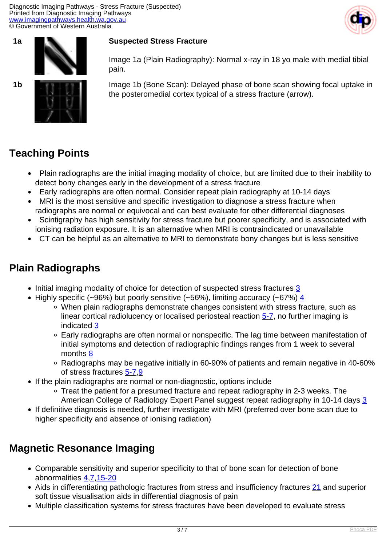



#### **1a <b>BIC Suspected Stress Fracture**

Image 1a (Plain Radiography): Normal x-ray in 18 yo male with medial tibial pain.

**1b ID** Image 1b (Bone Scan): Delayed phase of bone scan showing focal uptake in the posteromedial cortex typical of a stress fracture (arrow).

## **Teaching Points**

- Plain radiographs are the initial imaging modality of choice, but are limited due to their inability to detect bony changes early in the development of a stress fracture
- Early radiographs are often normal. Consider repeat plain radiography at 10-14 days
- MRI is the most sensitive and specific investigation to diagnose a stress fracture when radiographs are normal or equivocal and can best evaluate for other differential diagnoses
- Scintigraphy has high sensitivity for stress fracture but poorer specificity, and is associated with ionising radiation exposure. It is an alternative when MRI is contraindicated or unavailable
- CT can be helpful as an alternative to MRI to demonstrate bony changes but is less sensitive

## **Plain Radiographs**

- Initial imaging modality of choice for detection of suspected stress fractures [3](index.php/imaging-pathways/musculoskeletal-trauma/bone-and-joint-trauma/suspected-stress-fracture?tab=References#3)
- Highly specific (~96%) but poorly sensitive (~56%), limiting accuracy (~67%)  $\frac{4}{3}$  $\frac{4}{3}$  $\frac{4}{3}$ 
	- When plain radiographs demonstrate changes consistent with stress fracture, such as linear cortical radiolucency or localised periosteal reaction [5-7,](index.php/imaging-pathways/musculoskeletal-trauma/bone-and-joint-trauma/suspected-stress-fracture?tab=References#5) no further imaging is indicated [3](index.php/imaging-pathways/musculoskeletal-trauma/bone-and-joint-trauma/suspected-stress-fracture?tab=References#3)
	- Early radiographs are often normal or nonspecific. The lag time between manifestation of initial symptoms and detection of radiographic findings ranges from 1 week to several months [8](index.php/imaging-pathways/musculoskeletal-trauma/bone-and-joint-trauma/suspected-stress-fracture?tab=References#8)
	- Radiographs may be negative initially in 60-90% of patients and remain negative in 40-60% of stress fractures [5-7](index.php/imaging-pathways/musculoskeletal-trauma/bone-and-joint-trauma/suspected-stress-fracture?tab=References#5),[9](index.php/imaging-pathways/musculoskeletal-trauma/bone-and-joint-trauma/suspected-stress-fracture?tab=References#9)
- If the plain radiographs are normal or non-diagnostic, options include
	- Treat the patient for a presumed fracture and repeat radiography in 2-3 weeks. The American College of Radiology Expert Panel suggest repeat radiography in 10-14 days [3](index.php/imaging-pathways/musculoskeletal-trauma/bone-and-joint-trauma/suspected-stress-fracture?tab=References#3)
- If definitive diagnosis is needed, further investigate with MRI (preferred over bone scan due to higher specificity and absence of ionising radiation)

## **Magnetic Resonance Imaging**

- Comparable sensitivity and superior specificity to that of bone scan for detection of bone abnormalities [4,](index.php/imaging-pathways/musculoskeletal-trauma/bone-and-joint-trauma/suspected-stress-fracture?tab=References#4)[7,](index.php/imaging-pathways/musculoskeletal-trauma/bone-and-joint-trauma/suspected-stress-fracture?tab=References#7)[15-20](index.php/imaging-pathways/musculoskeletal-trauma/bone-and-joint-trauma/suspected-stress-fracture?tab=References#15)
- Aids in differentiating pathologic fractures from stress and insufficiency fractures [21](?tab=References#21) and superior soft tissue visualisation aids in differential diagnosis of pain
- Multiple classification systems for stress fractures have been developed to evaluate stress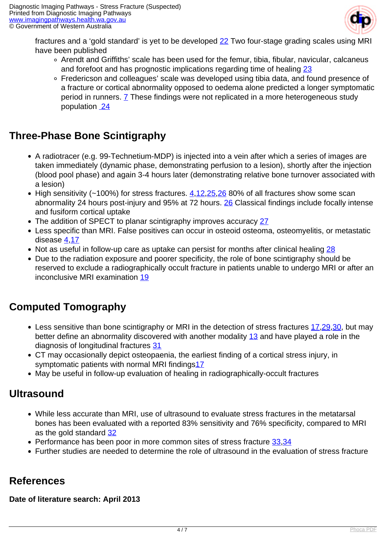

fractures and a 'gold standard' is yet to be developed [22](index.php/imaging-pathways/musculoskeletal-trauma/bone-and-joint-trauma/suspected-stress-fracture?tab=References#22) Two four-stage grading scales using MRI have been published

- Arendt and Griffiths' scale has been used for the femur, tibia, fibular, navicular, calcaneus and forefoot and has prognostic implications regarding time of healing [23](index.php/imaging-pathways/musculoskeletal-trauma/bone-and-joint-trauma/suspected-stress-fracture?tab=References#23)
- Fredericson and colleagues' scale was developed using tibia data, and found presence of a fracture or cortical abnormality opposed to oedema alone predicted a longer symptomatic period in runners. **7** These findings were not replicated in a more heterogeneous study population [24](index.php/imaging-pathways/musculoskeletal-trauma/bone-and-joint-trauma/suspected-stress-fracture?tab=References#24)

## **Three-Phase Bone Scintigraphy**

- A radiotracer (e.g. 99-Technetium-MDP) is injected into a vein after which a series of images are taken immediately (dynamic phase, demonstrating perfusion to a lesion), shortly after the injection (blood pool phase) and again 3-4 hours later (demonstrating relative bone turnover associated with a lesion)
- High sensitivity (~100%) for stress fractures.  $4,12,25,26$  $4,12,25,26$  $4,12,25,26$  $4,12,25,26$  $4,12,25,26$  80% of all fractures show some scan abnormality 24 hours post-injury and 95% at 72 hours. [26](index.php/imaging-pathways/musculoskeletal-trauma/bone-and-joint-trauma/suspected-stress-fracture?tab=References#26) Classical findings include focally intense and fusiform cortical uptake
- The addition of SPECT to planar scintigraphy improves accuracy [27](index.php/imaging-pathways/musculoskeletal-trauma/bone-and-joint-trauma/suspected-stress-fracture?tab=References#27)
- Less specific than MRI. False positives can occur in osteoid osteoma, osteomyelitis, or metastatic disease [4,](index.php/imaging-pathways/musculoskeletal-trauma/bone-and-joint-trauma/suspected-stress-fracture?tab=References#4)[17](index.php/imaging-pathways/musculoskeletal-trauma/bone-and-joint-trauma/suspected-stress-fracture?tab=References#17)
- Not as useful in follow-up care as uptake can persist for months after clinical healing [28](index.php/imaging-pathways/musculoskeletal-trauma/bone-and-joint-trauma/suspected-stress-fracture?tab=References#28)
- Due to the radiation exposure and poorer specificity, the role of bone scintigraphy should be reserved to exclude a radiographically occult fracture in patients unable to undergo MRI or after an inconclusive MRI examination [19](index.php/imaging-pathways/musculoskeletal-trauma/bone-and-joint-trauma/suspected-stress-fracture?tab=References#19)

## **Computed Tomography**

- Less sensitive than bone scintigraphy or MRI in the detection of stress fractures [17](index.php/imaging-pathways/musculoskeletal-trauma/bone-and-joint-trauma/suspected-stress-fracture?tab=References#17)[,29,](index.php/imaging-pathways/musculoskeletal-trauma/bone-and-joint-trauma/suspected-stress-fracture?tab=References#29)[30](index.php/imaging-pathways/musculoskeletal-trauma/bone-and-joint-trauma/suspected-stress-fracture?tab=References#30), but may better define an abnormality discovered with another modality [13](index.php/imaging-pathways/musculoskeletal-trauma/bone-and-joint-trauma/suspected-stress-fracture?tab=References#13) and have played a role in the diagnosis of longitudinal fractures [31](index.php/imaging-pathways/musculoskeletal-trauma/bone-and-joint-trauma/suspected-stress-fracture?tab=References#31)
- CT may occasionally depict osteopaenia, the earliest finding of a cortical stress injury, in symptomatic patients with normal MRI findings<sup>[17](index.php/imaging-pathways/musculoskeletal-trauma/bone-and-joint-trauma/suspected-stress-fracture?tab=References#17)</sup>
- May be useful in follow-up evaluation of healing in radiographically-occult fractures

## **Ultrasound**

- While less accurate than MRI, use of ultrasound to evaluate stress fractures in the metatarsal bones has been evaluated with a reported 83% sensitivity and 76% specificity, compared to MRI as the gold standard [32](index.php/imaging-pathways/musculoskeletal-trauma/bone-and-joint-trauma/suspected-stress-fracture?tab=References#32)
- Performance has been poor in more common sites of stress fracture [33](index.php/imaging-pathways/musculoskeletal-trauma/bone-and-joint-trauma/suspected-stress-fracture?tab=References#33)[,34](index.php/imaging-pathways/musculoskeletal-trauma/bone-and-joint-trauma/suspected-stress-fracture?tab=References#34)
- Further studies are needed to determine the role of ultrasound in the evaluation of stress fracture

## **References**

**Date of literature search: April 2013**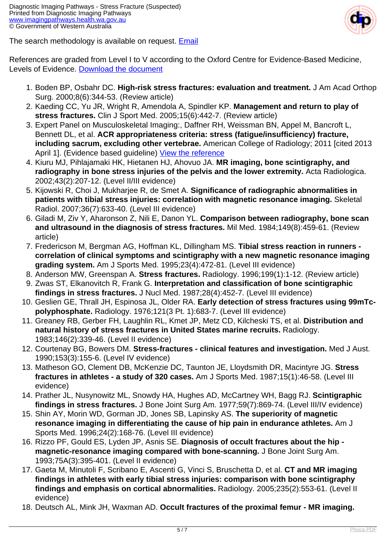

The search methodology is available on request. [Email](index.php/contact-us)

References are graded from Level I to V according to the Oxford Centre for Evidence-Based Medicine, Levels of Evidence. [Download the document](http://www.cebm.net/wp-content/uploads/2014/06/CEBM-Levels-of-Evidence-2.1.pdf)

- 1. Boden BP, Osbahr DC. **High-risk stress fractures: evaluation and treatment.** J Am Acad Orthop Surg. 2000;8(6):344-53. (Review article)
- 2. Kaeding CC, Yu JR, Wright R, Amendola A, Spindler KP. **Management and return to play of stress fractures.** Clin J Sport Med. 2005;15(6):442-7. (Review article)
- 3. Expert Panel on Musculoskeletal Imaging:, Daffner RH, Weissman BN, Appel M, Bancroft L, Bennett DL, et al. **ACR appropriateness criteria: stress (fatigue/insufficiency) fracture, including sacrum, excluding other vertebrae.** American College of Radiology; 2011 [cited 2013 April 1]. (Evidence based guideline) [View the reference](http://www.guideline.gov/content.aspx?id=32618)
- 4. Kiuru MJ, Pihlajamaki HK, Hietanen HJ, Ahovuo JA. **MR imaging, bone scintigraphy, and radiography in bone stress injuries of the pelvis and the lower extremity.** Acta Radiologica. 2002;43(2):207-12. (Level II/III evidence)
- 5. Kijowski R, Choi J, Mukharjee R, de Smet A. **Significance of radiographic abnormalities in patients with tibial stress injuries: correlation with magnetic resonance imaging.** Skeletal Radiol. 2007;36(7):633-40. (Level III evidence)
- 6. Giladi M, Ziv Y, Aharonson Z, Nili E, Danon YL. **Comparison between radiography, bone scan and ultrasound in the diagnosis of stress fractures.** Mil Med. 1984;149(8):459-61. (Review article)
- 7. Fredericson M, Bergman AG, Hoffman KL, Dillingham MS. **Tibial stress reaction in runners correlation of clinical symptoms and scintigraphy with a new magnetic resonance imaging grading system.** Am J Sports Med. 1995;23(4):472-81. (Level III evidence)
- 8. Anderson MW, Greenspan A. **Stress fractures.** Radiology. 1996;199(1):1-12. (Review article)
- 9. Zwas ST, Elkanovitch R, Frank G. **Interpretation and classification of bone scintigraphic findings in stress fractures.** J Nucl Med. 1987;28(4):452-7. (Level III evidence)
- 10. Geslien GE, Thrall JH, Espinosa JL, Older RA. **Early detection of stress fractures using 99mTcpolyphosphate.** Radiology. 1976;121(3 Pt. 1):683-7. (Level III evidence)
- 11. Greaney RB, Gerber FH, Laughlin RL, Kmet JP, Metz CD, Kilcheski TS, et al. **Distribution and natural history of stress fractures in United States marine recruits.** Radiology. 1983;146(2):339-46. (Level II evidence)
- 12. Courtenay BG, Bowers DM. **Stress-fractures clinical features and investigation.** Med J Aust. 1990;153(3):155-6. (Level IV evidence)
- 13. Matheson GO, Clement DB, McKenzie DC, Taunton JE, Lloydsmith DR, Macintyre JG. **Stress fractures in athletes - a study of 320 cases.** Am J Sports Med. 1987;15(1):46-58. (Level III evidence)
- 14. Prather JL, Nusynowitz ML, Snowdy HA, Hughes AD, McCartney WH, Bagg RJ. **Scintigraphic findings in stress fractures.** J Bone Joint Surg Am. 1977;59(7):869-74. (Level III/IV evidence)
- 15. Shin AY, Morin WD, Gorman JD, Jones SB, Lapinsky AS. **The superiority of magnetic resonance imaging in differentiating the cause of hip pain in endurance athletes.** Am J Sports Med. 1996;24(2):168-76. (Level III evidence)
- 16. Rizzo PF, Gould ES, Lyden JP, Asnis SE. **Diagnosis of occult fractures about the hip magnetic-resonance imaging compared with bone-scanning.** J Bone Joint Surg Am. 1993;75A(3):395-401. (Level II evidence)
- 17. Gaeta M, Minutoli F, Scribano E, Ascenti G, Vinci S, Bruschetta D, et al. **CT and MR imaging findings in athletes with early tibial stress injuries: comparison with bone scintigraphy findings and emphasis on cortical abnormalities.** Radiology. 2005;235(2):553-61. (Level II evidence)
- 18. Deutsch AL, Mink JH, Waxman AD. **Occult fractures of the proximal femur MR imaging.**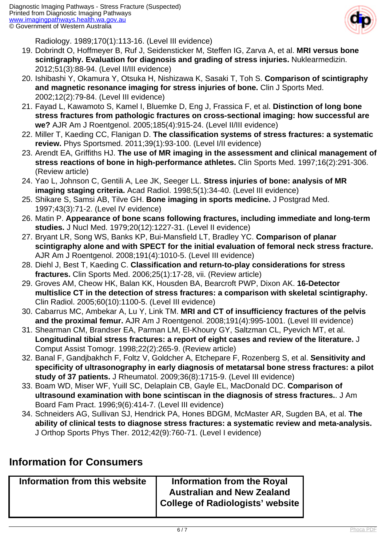

Radiology. 1989;170(1):113-16. (Level III evidence)

- 19. Dobrindt O, Hoffmeyer B, Ruf J, Seidensticker M, Steffen IG, Zarva A, et al. **MRI versus bone scintigraphy. Evaluation for diagnosis and grading of stress injuries.** Nuklearmedizin. 2012;51(3):88-94. (Level II/III evidence)
- 20. Ishibashi Y, Okamura Y, Otsuka H, Nishizawa K, Sasaki T, Toh S. **Comparison of scintigraphy and magnetic resonance imaging for stress injuries of bone.** Clin J Sports Med. 2002;12(2):79-84. (Level III evidence)
- 21. Fayad L, Kawamoto S, Kamel I, Bluemke D, Eng J, Frassica F, et al. **Distinction of long bone stress fractures from pathologic fractures on cross-sectional imaging: how successful are we?** AJR Am J Roentgenol. 2005;185(4):915-24. (Level II/III evidence)
- 22. Miller T, Kaeding CC, Flanigan D. **The classification systems of stress fractures: a systematic review.** Phys Sportsmed. 2011;39(1):93-100. (Level I/II evidence)
- 23. Arendt EA, Griffiths HJ. **The use of MR imaging in the assessment and clinical management of stress reactions of bone in high-performance athletes.** Clin Sports Med. 1997;16(2):291-306. (Review article)
- 24. Yao L, Johnson C, Gentili A, Lee JK, Seeger LL. **Stress injuries of bone: analysis of MR imaging staging criteria.** Acad Radiol. 1998;5(1):34-40. (Level III evidence)
- 25. Shikare S, Samsi AB, Tilve GH. **Bone imaging in sports medicine.** J Postgrad Med. 1997;43(3):71-2. (Level IV evidence)
- 26. Matin P. **Appearance of bone scans following fractures, including immediate and long-term studies.** J Nucl Med. 1979;20(12):1227-31. (Level II evidence)
- 27. Bryant LR, Song WS, Banks KP, Bui-Mansfield LT, Bradley YC. **Comparison of planar scintigraphy alone and with SPECT for the initial evaluation of femoral neck stress fracture.** AJR Am J Roentgenol. 2008;191(4):1010-5. (Level III evidence)
- 28. Diehl J, Best T, Kaeding C. **Classification and return-to-play considerations for stress fractures.** Clin Sports Med. 2006;25(1):17-28, vii. (Review article)
- 29. Groves AM, Cheow HK, Balan KK, Housden BA, Bearcroft PWP, Dixon AK. **16-Detector multislice CT in the detection of stress fractures: a comparison with skeletal scintigraphy.** Clin Radiol. 2005;60(10):1100-5. (Level III evidence)
- 30. Cabarrus MC, Ambekar A, Lu Y, Link TM. **MRI and CT of insufficiency fractures of the pelvis and the proximal femur.** AJR Am J Roentgenol. 2008;191(4):995-1001. (Level III evidence)
- 31. Shearman CM, Brandser EA, Parman LM, El-Khoury GY, Saltzman CL, Pyevich MT, et al. **Longitudinal tibial stress fractures: a report of eight cases and review of the literature.** J Comput Assist Tomogr. 1998;22(2):265-9. (Review article)
- 32. Banal F, Gandjbakhch F, Foltz V, Goldcher A, Etchepare F, Rozenberg S, et al. **Sensitivity and specificity of ultrasonography in early diagnosis of metatarsal bone stress fractures: a pilot study of 37 patients.** J Rheumatol. 2009;36(8):1715-9. (Level III evidence)
- 33. Boam WD, Miser WF, Yuill SC, Delaplain CB, Gayle EL, MacDonald DC. **Comparison of ultrasound examination with bone scintiscan in the diagnosis of stress fractures.**. J Am Board Fam Pract. 1996;9(6):414-7. (Level III evidence)
- 34. Schneiders AG, Sullivan SJ, Hendrick PA, Hones BDGM, McMaster AR, Sugden BA, et al. **The ability of clinical tests to diagnose stress fractures: a systematic review and meta-analysis.** J Orthop Sports Phys Ther. 2012;42(9):760-71. (Level I evidence)

## **Information for Consumers**

| Information from this website | Information from the Royal        |
|-------------------------------|-----------------------------------|
|                               | <b>Australian and New Zealand</b> |
|                               | College of Radiologists' website  |
|                               |                                   |